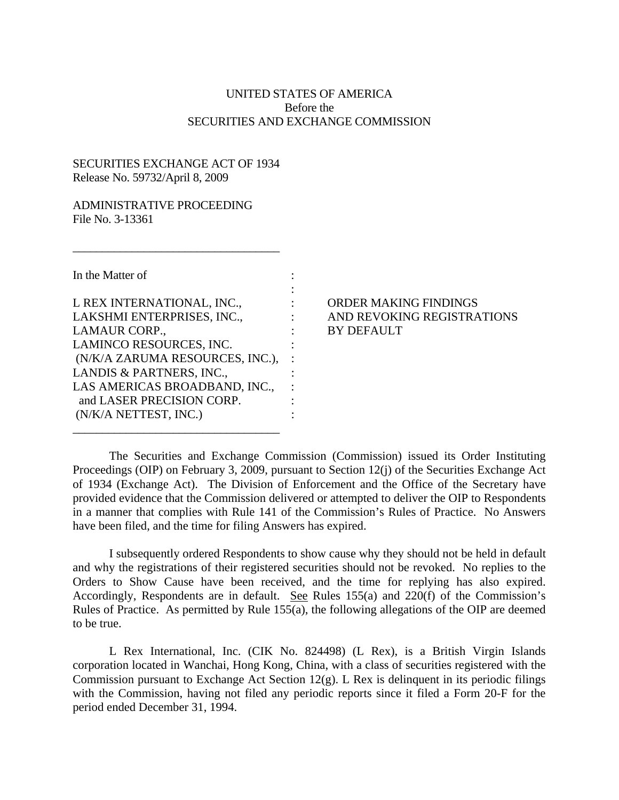## UNITED STATES OF AMERICA Before the SECURITIES AND EXCHANGE COMMISSION

## SECURITIES EXCHANGE ACT OF 1934 Release No. 59732/April 8, 2009

\_\_\_\_\_\_\_\_\_\_\_\_\_\_\_\_\_\_\_\_\_\_\_\_\_\_\_\_\_\_\_\_\_\_\_

## ADMINISTRATIVE PROCEEDING File No. 3-13361

| In the Matter of                |  |
|---------------------------------|--|
|                                 |  |
| L REX INTERNATIONAL, INC.,      |  |
| LAKSHMI ENTERPRISES, INC.,      |  |
| <b>LAMAUR CORP.,</b>            |  |
| LAMINCO RESOURCES, INC.         |  |
| (N/K/A ZARUMA RESOURCES, INC.), |  |
| LANDIS & PARTNERS, INC.,        |  |
| LAS AMERICAS BROADBAND, INC.,   |  |
| and LASER PRECISION CORP.       |  |
| (N/K/A NETTEST, INC.)           |  |

\_\_\_\_\_\_\_\_\_\_\_\_\_\_\_\_\_\_\_\_\_\_\_\_\_\_\_\_\_\_\_\_\_\_\_

## ORDER MAKING FINDINGS AND REVOKING REGISTRATIONS BY DEFAULT

The Securities and Exchange Commission (Commission) issued its Order Instituting Proceedings (OIP) on February 3, 2009, pursuant to Section 12(j) of the Securities Exchange Act of 1934 (Exchange Act). The Division of Enforcement and the Office of the Secretary have provided evidence that the Commission delivered or attempted to deliver the OIP to Respondents in a manner that complies with Rule 141 of the Commission's Rules of Practice. No Answers have been filed, and the time for filing Answers has expired.

I subsequently ordered Respondents to show cause why they should not be held in default and why the registrations of their registered securities should not be revoked. No replies to the Orders to Show Cause have been received, and the time for replying has also expired. Accordingly, Respondents are in default. See Rules 155(a) and 220(f) of the Commission's Rules of Practice. As permitted by Rule 155(a), the following allegations of the OIP are deemed to be true.

L Rex International, Inc. (CIK No. 824498) (L Rex), is a British Virgin Islands corporation located in Wanchai, Hong Kong, China, with a class of securities registered with the Commission pursuant to Exchange Act Section  $12(g)$ . L Rex is delinquent in its periodic filings with the Commission, having not filed any periodic reports since it filed a Form 20-F for the period ended December 31, 1994.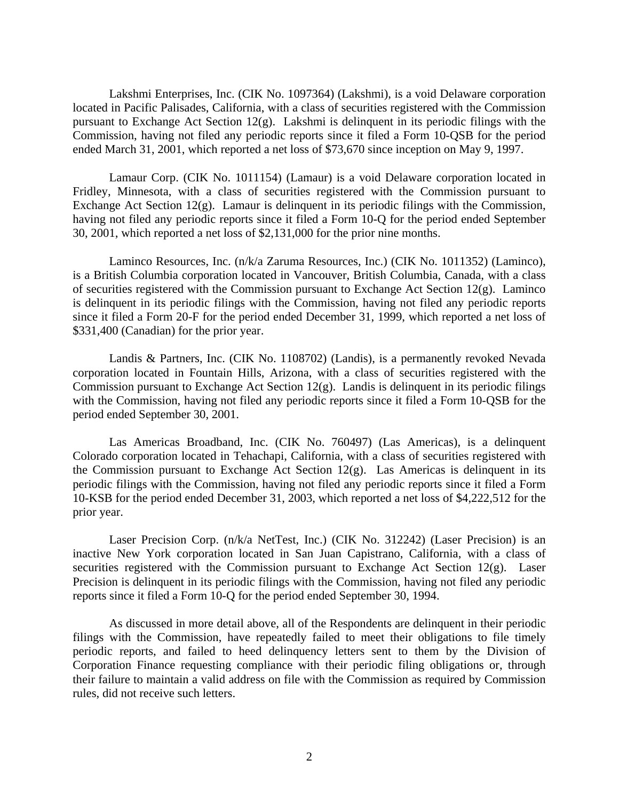Lakshmi Enterprises, Inc. (CIK No. 1097364) (Lakshmi), is a void Delaware corporation located in Pacific Palisades, California, with a class of securities registered with the Commission pursuant to Exchange Act Section 12(g). Lakshmi is delinquent in its periodic filings with the Commission, having not filed any periodic reports since it filed a Form 10-QSB for the period ended March 31, 2001, which reported a net loss of \$73,670 since inception on May 9, 1997.

Lamaur Corp. (CIK No. 1011154) (Lamaur) is a void Delaware corporation located in Fridley, Minnesota, with a class of securities registered with the Commission pursuant to Exchange Act Section 12(g). Lamaur is delinquent in its periodic filings with the Commission, having not filed any periodic reports since it filed a Form 10-Q for the period ended September 30, 2001, which reported a net loss of \$2,131,000 for the prior nine months.

Laminco Resources, Inc. (n/k/a Zaruma Resources, Inc.) (CIK No. 1011352) (Laminco), is a British Columbia corporation located in Vancouver, British Columbia, Canada, with a class of securities registered with the Commission pursuant to Exchange Act Section  $12(g)$ . Laminco is delinquent in its periodic filings with the Commission, having not filed any periodic reports since it filed a Form 20-F for the period ended December 31, 1999, which reported a net loss of \$331,400 (Canadian) for the prior year.

Landis & Partners, Inc. (CIK No. 1108702) (Landis), is a permanently revoked Nevada corporation located in Fountain Hills, Arizona, with a class of securities registered with the Commission pursuant to Exchange Act Section 12(g). Landis is delinquent in its periodic filings with the Commission, having not filed any periodic reports since it filed a Form 10-QSB for the period ended September 30, 2001.

Las Americas Broadband, Inc. (CIK No. 760497) (Las Americas), is a delinquent Colorado corporation located in Tehachapi, California, with a class of securities registered with the Commission pursuant to Exchange Act Section  $12(g)$ . Las Americas is delinquent in its periodic filings with the Commission, having not filed any periodic reports since it filed a Form 10-KSB for the period ended December 31, 2003, which reported a net loss of \$4,222,512 for the prior year.

Laser Precision Corp. (n/k/a NetTest, Inc.) (CIK No. 312242) (Laser Precision) is an inactive New York corporation located in San Juan Capistrano, California, with a class of securities registered with the Commission pursuant to Exchange Act Section  $12(g)$ . Laser Precision is delinquent in its periodic filings with the Commission, having not filed any periodic reports since it filed a Form 10-Q for the period ended September 30, 1994.

As discussed in more detail above, all of the Respondents are delinquent in their periodic filings with the Commission, have repeatedly failed to meet their obligations to file timely periodic reports, and failed to heed delinquency letters sent to them by the Division of Corporation Finance requesting compliance with their periodic filing obligations or, through their failure to maintain a valid address on file with the Commission as required by Commission rules, did not receive such letters.